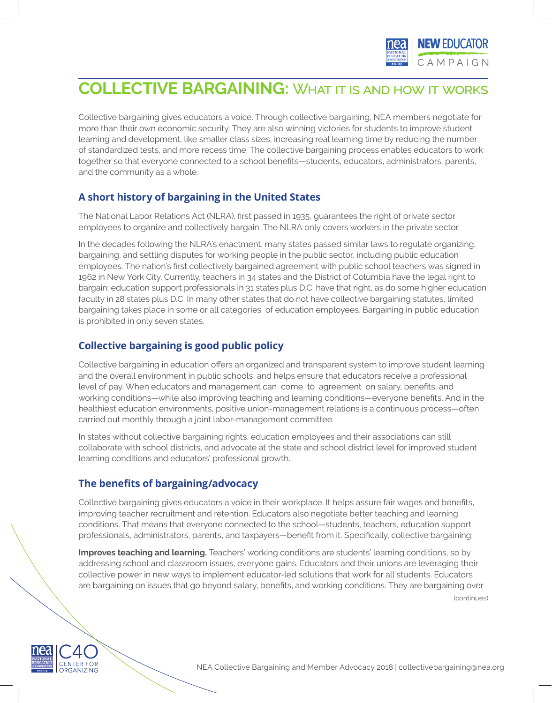

# **COLLECTIVE BARGAINING:** What it is and how it works

Collective bargaining gives educators a voice. Through collective bargaining, NEA members negotiate for more than their own economic security. They are also winning victories for students to improve student learning and development, like smaller class sizes, increasing real learning time by reducing the number of standardized tests, and more recess time. The collective bargaining process enables educators to work together so that everyone connected to a school benefits—students, educators, administrators, parents, and the community as a whole.

## **A short history of bargaining in the United States**

The National Labor Relations Act (NLRA), first passed in 1935, guarantees the right of private sector employees to organize and collectively bargain. The NLRA only covers workers in the private sector.

In the decades following the NLRA's enactment, many states passed similar laws to regulate organizing, bargaining, and settling disputes for working people in the public sector, including public education employees. The nation's first collectively bargained agreement with public school teachers was signed in 1962 in New York City. Currently, teachers in 34 states and the District of Columbia have the legal right to bargain; education support professionals in 31 states plus D.C. have that right, as do some higher education faculty in 28 states plus D.C. In many other states that do not have collective bargaining statutes, limited bargaining takes place in some or all categories of education employees. Bargaining in public education is prohibited in only seven states.

## **Collective bargaining is good public policy**

Collective bargaining in education offers an organized and transparent system to improve student learning and the overall environment in public schools, and helps ensure that educators receive a professional level of pay. When educators and management can come to agreement on salary, benefits, and working conditions—while also improving teaching and learning conditions—everyone benefits. And in the healthiest education environments, positive union-management relations is a continuous process—often carried out monthly through a joint labor-management committee.

In states without collective bargaining rights, education employees and their associations can still collaborate with school districts, and advocate at the state and school district level for improved student learning conditions and educators' professional growth.

## **The benefits of bargaining/advocacy**

Collective bargaining gives educators a voice in their workplace. It helps assure fair wages and benefits, improving teacher recruitment and retention. Educators also negotiate better teaching and learning conditions. That means that everyone connected to the school—students, teachers, education support professionals, administrators, parents, and taxpayers—benefit from it. Specifically, collective bargaining:

**Improves teaching and learning.** Teachers' working conditions are students' learning conditions, so by addressing school and classroom issues, everyone gains. Educators and their unions are leveraging their collective power in new ways to implement educator-led solutions that work for all students. Educators are bargaining on issues that go beyond salary, benefits, and working conditions. They are bargaining over

(continues)



NEA Collective Bargaining and Member Advocacy 2018 | collectivebargaining@nea.org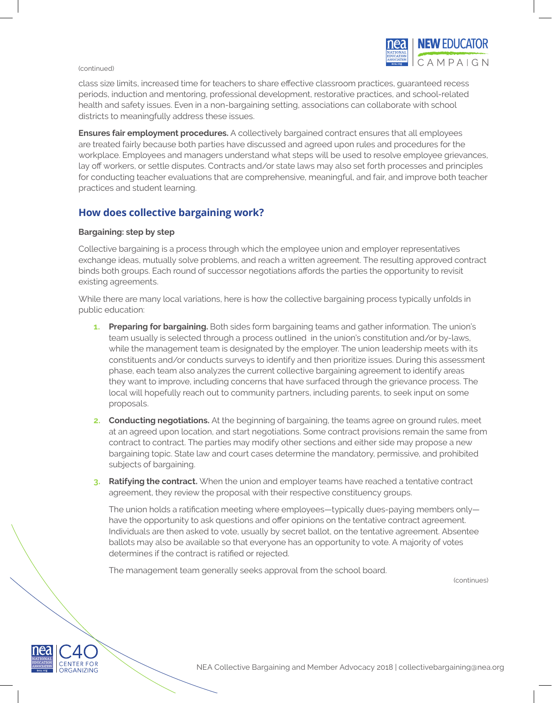#### (continued)



class size limits, increased time for teachers to share effective classroom practices, guaranteed recess periods, induction and mentoring, professional development, restorative practices, and school-related health and safety issues. Even in a non-bargaining setting, associations can collaborate with school districts to meaningfully address these issues.

**Ensures fair employment procedures.** A collectively bargained contract ensures that all employees are treated fairly because both parties have discussed and agreed upon rules and procedures for the workplace. Employees and managers understand what steps will be used to resolve employee grievances, lay off workers, or settle disputes. Contracts and/or state laws may also set forth processes and principles for conducting teacher evaluations that are comprehensive, meaningful, and fair, and improve both teacher practices and student learning.

## **How does collective bargaining work?**

### **Bargaining: step by step**

Collective bargaining is a process through which the employee union and employer representatives exchange ideas, mutually solve problems, and reach a written agreement. The resulting approved contract binds both groups. Each round of successor negotiations affords the parties the opportunity to revisit existing agreements.

While there are many local variations, here is how the collective bargaining process typically unfolds in public education:

- **1. Preparing for bargaining.** Both sides form bargaining teams and gather information. The union's team usually is selected through a process outlined in the union's constitution and/or by-laws, while the management team is designated by the employer. The union leadership meets with its constituents and/or conducts surveys to identify and then prioritize issues. During this assessment phase, each team also analyzes the current collective bargaining agreement to identify areas they want to improve, including concerns that have surfaced through the grievance process. The local will hopefully reach out to community partners, including parents, to seek input on some proposals.
- **2. Conducting negotiations.** At the beginning of bargaining, the teams agree on ground rules, meet at an agreed upon location, and start negotiations. Some contract provisions remain the same from contract to contract. The parties may modify other sections and either side may propose a new bargaining topic. State law and court cases determine the mandatory, permissive, and prohibited subjects of bargaining.
- **3. Ratifying the contract.** When the union and employer teams have reached a tentative contract agreement, they review the proposal with their respective constituency groups.

The union holds a ratification meeting where employees—typically dues-paying members only have the opportunity to ask questions and offer opinions on the tentative contract agreement. Individuals are then asked to vote, usually by secret ballot, on the tentative agreement. Absentee ballots may also be available so that everyone has an opportunity to vote. A majority of votes determines if the contract is ratified or rejected.

The management team generally seeks approval from the school board.

(continues)